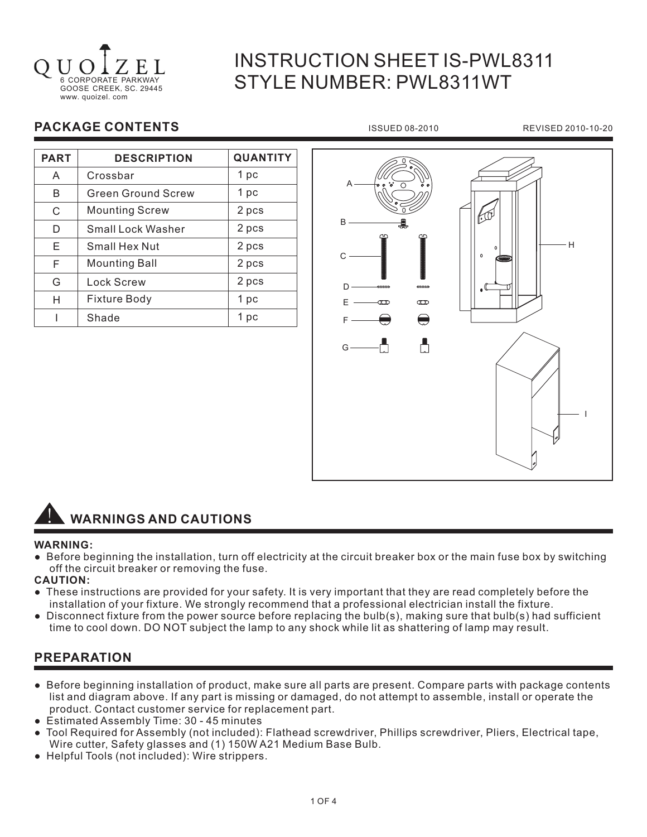

# INSTRUCTION SHEET IS-PWL8311 STYLE NUMBER: PWL8311WT

# **PACKAGE CONTENTS ISSUED 08-2010** REVISED 2010-10-20

| <b>PART</b> | <b>DESCRIPTION</b>        | <b>QUANTITY</b> |
|-------------|---------------------------|-----------------|
| A           | Crossbar                  | 1 pc            |
| B           | <b>Green Ground Screw</b> | 1 pc            |
| C           | <b>Mounting Screw</b>     | 2 pcs           |
| D           | Small Lock Washer         | 2 pcs           |
| E           | Small Hex Nut             | 2 pcs           |
| F           | <b>Mounting Ball</b>      | 2 pcs           |
| G           | <b>Lock Screw</b>         | 2 pcs           |
| н           | <b>Fixture Body</b>       | 1 pc            |
|             | Shade                     | 1 pc            |





#### **WARNING:**

● Before beginning the installation, turn off electricity at the circuit breaker box or the main fuse box by switching off the circuit breaker or removing the fuse.

#### **CAUTION:**

- These instructions are provided for your safety. It is very important that they are read completely before the installation of your fixture. We strongly recommend that a professional electrician install the fixture.
- Disconnect fixture from the power source before replacing the bulb(s), making sure that bulb(s) had sufficient time to cool down. DO NOT subject the lamp to any shock while lit as shattering of lamp may result.

# **PREPARATION**

- Before beginning installation of product, make sure all parts are present. Compare parts with package contents list and diagram above. If any part is missing or damaged, do not attempt to assemble, install or operate the product. Contact customer service for replacement part.
- Estimated Assembly Time: 30 45 minutes
- Tool Required for Assembly (not included): Flathead screwdriver, Phillips screwdriver, Pliers, Electrical tape, Wire cutter, Safety glasses and (1) 150W A21 Medium Base Bulb.
- Helpful Tools (not included): Wire strippers.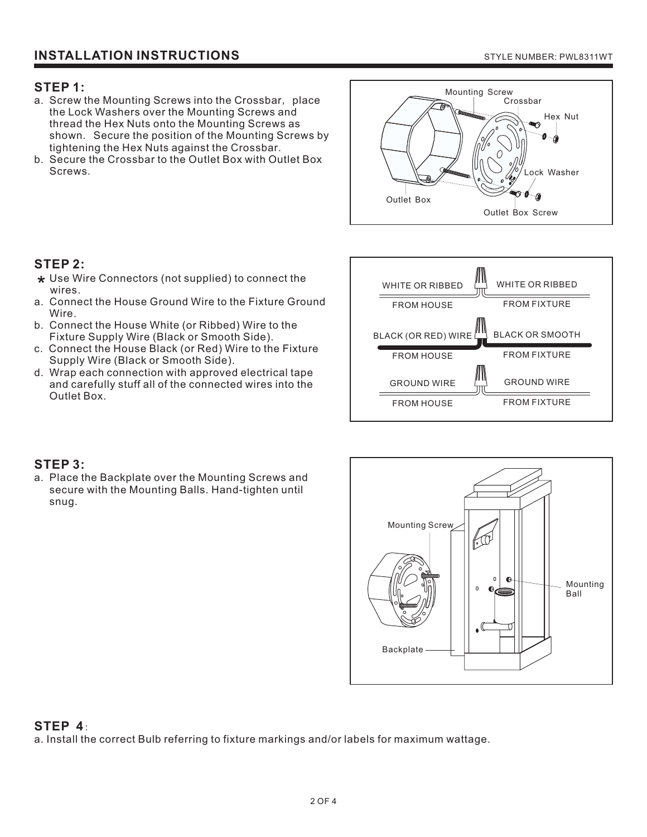### **STEP 1:**

- a. Screw the Mounting Screws into the Crossbar,place the Lock Washers over the Mounting Screws and thread the Hex Nuts onto the Mounting Screws as shown. Secure the position of the Mounting Screws by tightening the Hex Nuts against the Crossbar .
- b. Secure the Crossbar to the Outlet Box with Outlet Box Screws .



# **STEP 2:**

- \* Use Wire Connectors (not supplied) to connect the wires.
- a. Connect the House Ground Wire to the Fixture Ground Wire.
- b. Connect the House White (or Ribbed) Wire to the Fixture Supply Wire (Black or Smooth Side).
- c. Connect the House Black (or Red) Wire to the Fixture Supply Wire (Black or Smooth Side).
- d. Wrap each connection with approved electrical tape and carefully stuff all of the connected wires into the Outlet Box.



# **STEP 3:**

a. Place the Backplate over the Mounting Screws and secure with the Mounting Balls. Hand-tighten until snug.



# **STEP 4**:

a. Install the correct Bulb referring to fixture markings and/or labels for maximum wattage.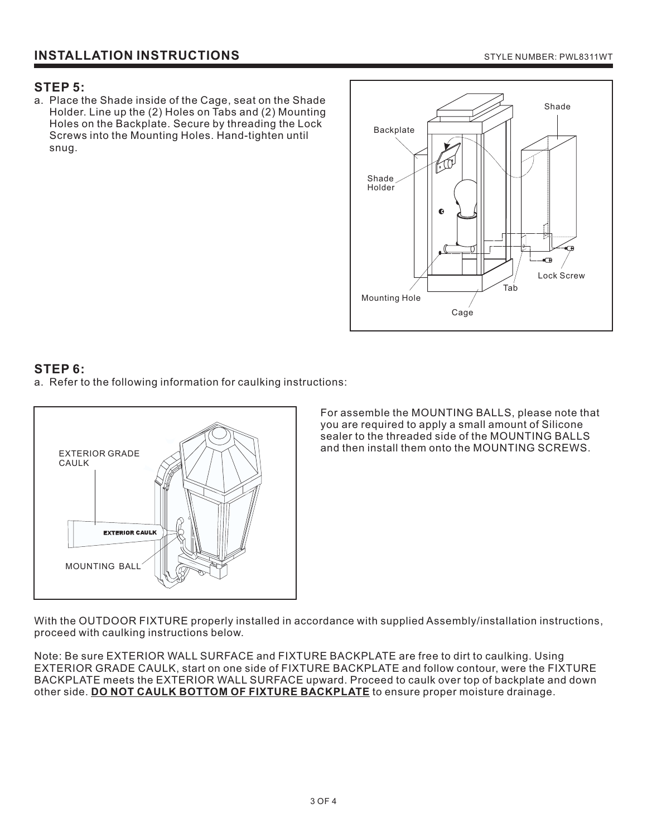#### **STEP 5:**

a. Place the Shade inside of the Cage, seat on the Shade Holder. Line up the (2) Holes on Tabs and (2) Mounting Holes on the Backplate. Secure by threading the Lock Screws into the Mounting Holes. Hand-tighten until snug.



# **STEP 6:**

a. Refer to the following information for caulking instructions:



For assemble the MOUNTING BALLS, please note that you are required to apply a small amount of Silicone sealer to the threaded side of the MOUNTING BALLS and then install them onto the MOUNTING SCREWS.

With the OUTDOOR FIXTURE properly installed in accordance with supplied Assembly/installation instructions, proceed with caulking instructions below.

Note: Be sure EXTERIOR WALL SURFACE and FIXTURE BACKPLATE are free to dirt to caulking. Using EXTERIOR GRADE CAULK, start on one side of FIXTURE BACKPLATE and follow contour, were the FIXTURE BACKPLATE meets the EXTERIOR WALL SURFACE upward. Proceed to caulk over top of backplate and down other side. **DO NOT CAULK BOTTOM OF FIXTURE BACKPLATE** to ensure proper moisture drainage.